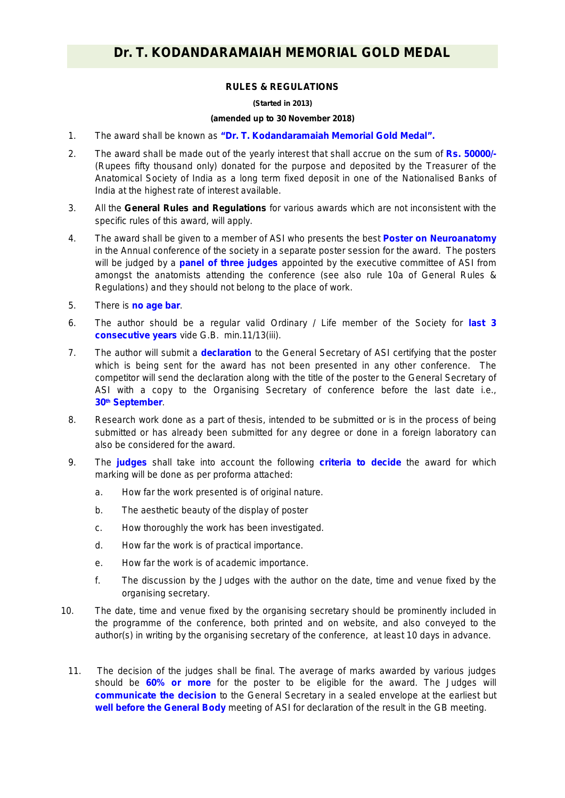## **RULES & REGULATIONS**

## **(Started in 2013)**

## **(amended up to 30 November 2018)**

- 1. The award shall be known as **"Dr. T. Kodandaramaiah Memorial Gold Medal".**
- 2. The award shall be made out of the yearly interest that shall accrue on the sum of **Rs. 50000/-** (Rupees fifty thousand only) donated for the purpose and deposited by the Treasurer of the Anatomical Society of India as a long term fixed deposit in one of the Nationalised Banks of India at the highest rate of interest available.
- 3. All the **General Rules and Regulations** for various awards which are not inconsistent with the specific rules of this award, will apply.
- 4. The award shall be given to a member of ASI who presents the best **Poster on Neuroanatomy**  in the Annual conference of the society in a separate poster session for the award. The posters will be judged by a **panel of three judges** appointed by the executive committee of ASI from amongst the anatomists attending the conference *(see also rule 10a of General Rules & Regulations)* and they should not belong to the place of work.
- 5. There is *no age bar*.
- 6. The author should be a regular valid Ordinary / Life member of the Society for **last 3 consecutive years** vide G.B. min.11/13(iii).
- 7. The author will submit a **declaration** to the General Secretary of ASI certifying that the poster which is being sent for the award has not been presented in any other conference. The competitor will send the declaration along with the title of the poster to the General Secretary of ASI with a copy to the Organising Secretary of conference before the last date i.e., **30th September**.
- 8. Research work done as a part of thesis, intended to be submitted or is in the process of being submitted or has already been submitted for any degree or done in a foreign laboratory can also be considered for the award.
- 9. The **judges** shall take into account the following **criteria to decide** the award for which marking will be done as per proforma attached:
	- a. How far the work presented is of original nature.
	- b. The aesthetic beauty of the display of poster
	- c. How thoroughly the work has been investigated.
	- d. How far the work is of practical importance.
	- e. How far the work is of academic importance.
	- f. The discussion by the Judges with the author on the date, time and venue fixed by the organising secretary.
- 10. The date, time and venue fixed by the organising secretary should be prominently included in the programme of the conference, both printed and on website, and also conveyed to the author(s) in writing by the organising secretary of the conference, at least 10 days in advance.
	- 11. The decision of the judges shall be final. The average of marks awarded by various judges should be **60% or more** for the poster to be eligible for the award. The Judges will **communicate the decision** to the General Secretary in a sealed envelope at the earliest but **well before the General Body** meeting of ASI for declaration of the result in the GB meeting.